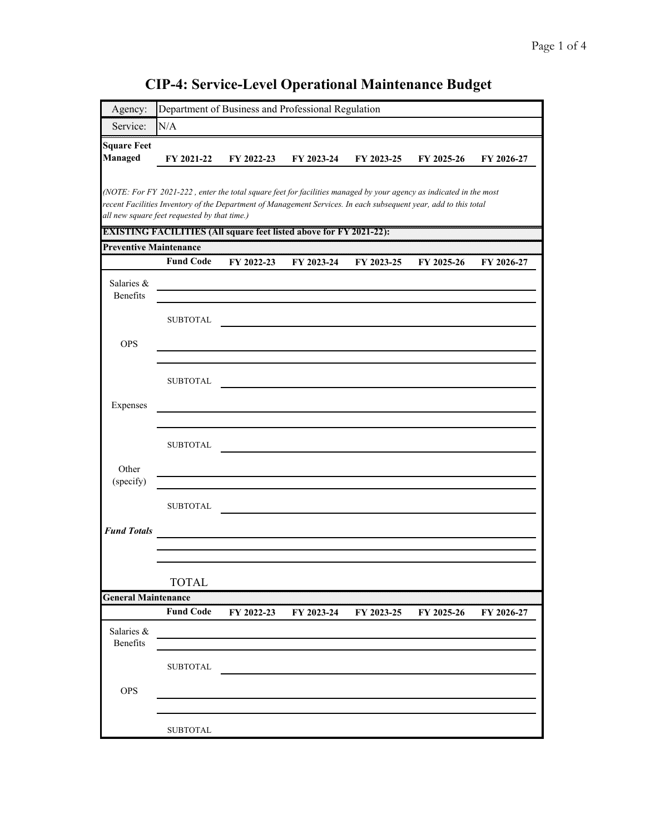| Agency:                       |                                              | Department of Business and Professional Regulation                                                                                                                                                                                     |            |            |            |            |
|-------------------------------|----------------------------------------------|----------------------------------------------------------------------------------------------------------------------------------------------------------------------------------------------------------------------------------------|------------|------------|------------|------------|
| Service:                      | N/A                                          |                                                                                                                                                                                                                                        |            |            |            |            |
| <b>Square Feet</b>            |                                              |                                                                                                                                                                                                                                        |            |            |            |            |
| Managed                       | FY 2021-22                                   | FY 2022-23                                                                                                                                                                                                                             | FY 2023-24 | FY 2023-25 | FY 2025-26 | FY 2026-27 |
|                               |                                              |                                                                                                                                                                                                                                        |            |            |            |            |
|                               |                                              | (NOTE: For FY 2021-222, enter the total square feet for facilities managed by your agency as indicated in the most<br>recent Facilities Inventory of the Department of Management Services. In each subsequent year, add to this total |            |            |            |            |
|                               | all new square feet requested by that time.) |                                                                                                                                                                                                                                        |            |            |            |            |
|                               |                                              | DATISTING DATULITIES (All square feel is ted above for PY 2021-22)).                                                                                                                                                                   |            |            |            |            |
| <b>Preventive Maintenance</b> |                                              |                                                                                                                                                                                                                                        |            |            |            |            |
|                               | <b>Fund Code</b>                             | FY 2022-23                                                                                                                                                                                                                             | FY 2023-24 | FY 2023-25 | FY 2025-26 | FY 2026-27 |
| Salaries &                    |                                              |                                                                                                                                                                                                                                        |            |            |            |            |
| Benefits                      |                                              |                                                                                                                                                                                                                                        |            |            |            |            |
|                               | <b>SUBTOTAL</b>                              |                                                                                                                                                                                                                                        |            |            |            |            |
| <b>OPS</b>                    |                                              |                                                                                                                                                                                                                                        |            |            |            |            |
|                               |                                              |                                                                                                                                                                                                                                        |            |            |            |            |
|                               | <b>SUBTOTAL</b>                              |                                                                                                                                                                                                                                        |            |            |            |            |
|                               |                                              |                                                                                                                                                                                                                                        |            |            |            |            |
| Expenses                      |                                              |                                                                                                                                                                                                                                        |            |            |            |            |
|                               |                                              |                                                                                                                                                                                                                                        |            |            |            |            |
|                               | <b>SUBTOTAL</b>                              |                                                                                                                                                                                                                                        |            |            |            |            |
| Other                         |                                              |                                                                                                                                                                                                                                        |            |            |            |            |
| (specify)                     |                                              |                                                                                                                                                                                                                                        |            |            |            |            |
|                               | <b>SUBTOTAL</b>                              |                                                                                                                                                                                                                                        |            |            |            |            |
|                               |                                              |                                                                                                                                                                                                                                        |            |            |            |            |
| <b>Fund Totals</b>            |                                              |                                                                                                                                                                                                                                        |            |            |            |            |
|                               |                                              |                                                                                                                                                                                                                                        |            |            |            |            |
|                               | <b>TOTAL</b>                                 |                                                                                                                                                                                                                                        |            |            |            |            |
| <b>General Maintenance</b>    |                                              |                                                                                                                                                                                                                                        |            |            |            |            |
|                               | <b>Fund Code</b>                             | FY 2022-23                                                                                                                                                                                                                             | FY 2023-24 | FY 2023-25 | FY 2025-26 | FY 2026-27 |
| Salaries &                    |                                              |                                                                                                                                                                                                                                        |            |            |            |            |
| Benefits                      |                                              |                                                                                                                                                                                                                                        |            |            |            |            |
|                               | <b>SUBTOTAL</b>                              |                                                                                                                                                                                                                                        |            |            |            |            |
| <b>OPS</b>                    |                                              |                                                                                                                                                                                                                                        |            |            |            |            |
|                               |                                              |                                                                                                                                                                                                                                        |            |            |            |            |
|                               |                                              |                                                                                                                                                                                                                                        |            |            |            |            |
|                               | <b>SUBTOTAL</b>                              |                                                                                                                                                                                                                                        |            |            |            |            |

## **CIP-4: Service-Level Operational Maintenance Budget**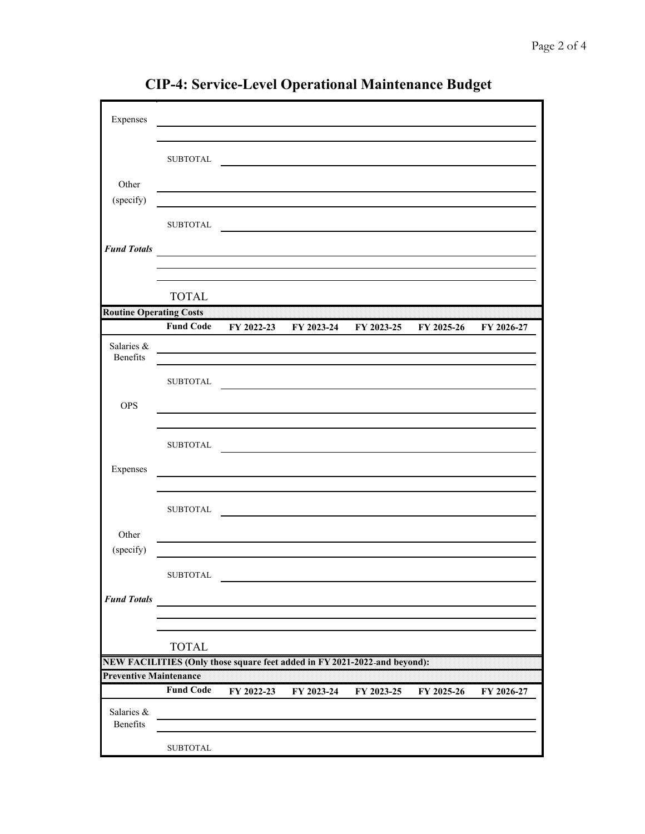| Expenses                       |                               |                                                                           |            |                                  |            |            |  |  |
|--------------------------------|-------------------------------|---------------------------------------------------------------------------|------------|----------------------------------|------------|------------|--|--|
|                                |                               |                                                                           |            |                                  |            |            |  |  |
|                                | <b>SUBTOTAL</b>               |                                                                           |            |                                  |            |            |  |  |
|                                |                               |                                                                           |            |                                  |            |            |  |  |
| Other                          |                               |                                                                           |            |                                  |            |            |  |  |
| (specify)                      |                               |                                                                           |            |                                  |            |            |  |  |
|                                | <b>SUBTOTAL</b>               |                                                                           |            |                                  |            |            |  |  |
| <b>Fund Totals</b>             |                               |                                                                           |            |                                  |            |            |  |  |
|                                |                               |                                                                           |            |                                  |            |            |  |  |
|                                |                               |                                                                           |            |                                  |            |            |  |  |
|                                | <b>TOTAL</b>                  |                                                                           |            |                                  |            |            |  |  |
| <b>Routine Operating Costs</b> |                               |                                                                           |            |                                  |            |            |  |  |
|                                | <b>Fund Code</b>              |                                                                           |            | FY 2022-23 FY 2023-24 FY 2023-25 | FY 2025-26 | FY 2026-27 |  |  |
| Salaries &<br>Benefits         |                               |                                                                           |            |                                  |            |            |  |  |
|                                |                               |                                                                           |            |                                  |            |            |  |  |
|                                | <b>SUBTOTAL</b>               |                                                                           |            |                                  |            |            |  |  |
| <b>OPS</b>                     |                               |                                                                           |            |                                  |            |            |  |  |
|                                |                               |                                                                           |            |                                  |            |            |  |  |
|                                | <b>SUBTOTAL</b>               |                                                                           |            |                                  |            |            |  |  |
|                                |                               |                                                                           |            |                                  |            |            |  |  |
| Expenses                       |                               |                                                                           |            |                                  |            |            |  |  |
|                                |                               |                                                                           |            |                                  |            |            |  |  |
|                                | <b>SUBTOTAL</b>               |                                                                           |            |                                  |            |            |  |  |
| Other                          |                               |                                                                           |            |                                  |            |            |  |  |
| (specify)                      |                               |                                                                           |            |                                  |            |            |  |  |
|                                | <b>SUBTOTAL</b>               |                                                                           |            |                                  |            |            |  |  |
|                                |                               |                                                                           |            |                                  |            |            |  |  |
| <b>Fund Totals</b>             |                               |                                                                           |            |                                  |            |            |  |  |
|                                |                               |                                                                           |            |                                  |            |            |  |  |
|                                | <b>TOTAL</b>                  |                                                                           |            |                                  |            |            |  |  |
|                                |                               | NEW FACILITIES (Only those square feet added in FY 2021-2022-and beyond): |            |                                  |            |            |  |  |
|                                | <b>Preventive Maintenance</b> |                                                                           |            |                                  |            |            |  |  |
|                                | <b>Fund Code</b>              | FY 2022-23                                                                | FY 2023-24 | FY 2023-25                       | FY 2025-26 | FY 2026-27 |  |  |
| Salaries &                     |                               |                                                                           |            |                                  |            |            |  |  |
| Benefits                       |                               |                                                                           |            |                                  |            |            |  |  |
|                                | <b>SUBTOTAL</b>               |                                                                           |            |                                  |            |            |  |  |

**CIP-4: Service-Level Operational Maintenance Budget**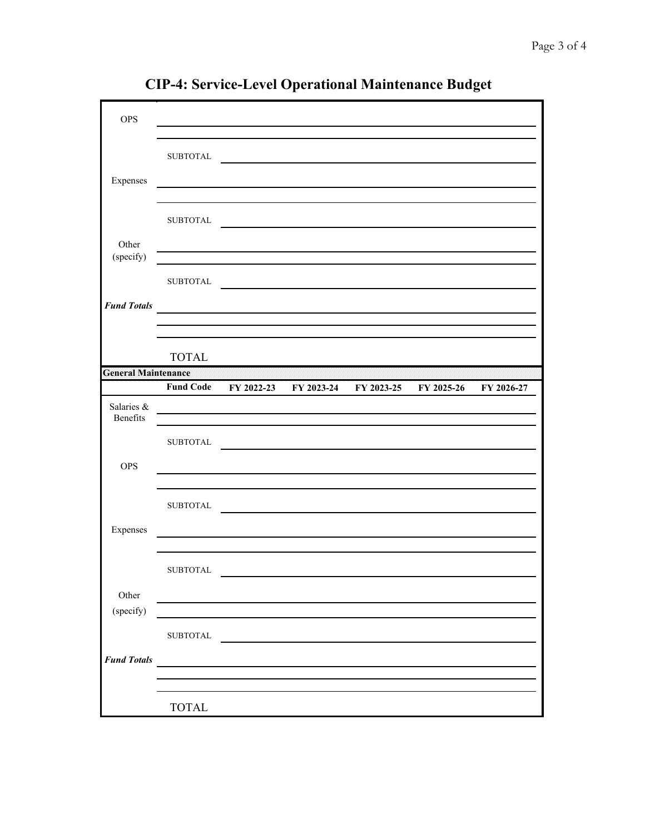| <b>OPS</b>                 |                  |                                                 |                                                                                                                       |            |            |            |
|----------------------------|------------------|-------------------------------------------------|-----------------------------------------------------------------------------------------------------------------------|------------|------------|------------|
|                            |                  |                                                 |                                                                                                                       |            |            |            |
|                            | <b>SUBTOTAL</b>  |                                                 |                                                                                                                       |            |            |            |
|                            |                  |                                                 |                                                                                                                       |            |            |            |
| Expenses                   |                  |                                                 |                                                                                                                       |            |            |            |
|                            |                  |                                                 |                                                                                                                       |            |            |            |
|                            | <b>SUBTOTAL</b>  |                                                 |                                                                                                                       |            |            |            |
| Other<br>(specify)         |                  |                                                 |                                                                                                                       |            |            |            |
|                            | <b>SUBTOTAL</b>  |                                                 |                                                                                                                       |            |            |            |
| <b>Fund Totals</b>         |                  |                                                 | <u> 1989 - Johann John Stone, markin sanadi ya kutoka mwaka wa 1989 - Amanda alikuwa mwaka wa 1989 - Amanda aliku</u> |            |            |            |
|                            |                  |                                                 |                                                                                                                       |            |            |            |
|                            |                  |                                                 |                                                                                                                       |            |            |            |
|                            | <b>TOTAL</b>     |                                                 |                                                                                                                       |            |            |            |
| <b>General Maintenance</b> |                  |                                                 |                                                                                                                       |            |            |            |
|                            | <b>Fund Code</b> | FY 2022-23                                      | FY 2023-24                                                                                                            | FY 2023-25 | FY 2025-26 | FY 2026-27 |
| Salaries &<br>Benefits     |                  |                                                 |                                                                                                                       |            |            |            |
|                            | <b>SUBTOTAL</b>  |                                                 |                                                                                                                       |            |            |            |
|                            |                  |                                                 |                                                                                                                       |            |            |            |
| <b>OPS</b>                 |                  |                                                 |                                                                                                                       |            |            |            |
|                            |                  |                                                 |                                                                                                                       |            |            |            |
|                            |                  |                                                 |                                                                                                                       |            |            |            |
|                            | ${\tt SUBTOTAL}$ |                                                 |                                                                                                                       |            |            |            |
|                            |                  |                                                 |                                                                                                                       |            |            |            |
| Expenses                   |                  |                                                 |                                                                                                                       |            |            |            |
|                            |                  |                                                 |                                                                                                                       |            |            |            |
|                            | ${\tt SUBTOTAL}$ |                                                 |                                                                                                                       |            |            |            |
| Other                      |                  |                                                 |                                                                                                                       |            |            |            |
| (specify)                  |                  |                                                 |                                                                                                                       |            |            |            |
|                            | ${\tt SUBTOTAL}$ |                                                 |                                                                                                                       |            |            |            |
|                            |                  |                                                 |                                                                                                                       |            |            |            |
| <b>Fund Totals</b>         |                  | <u> 1980 - Andrea Station Barbara (h. 1980)</u> |                                                                                                                       |            |            |            |
|                            |                  |                                                 |                                                                                                                       |            |            |            |

**CIP-4: Service-Level Operational Maintenance Budget**